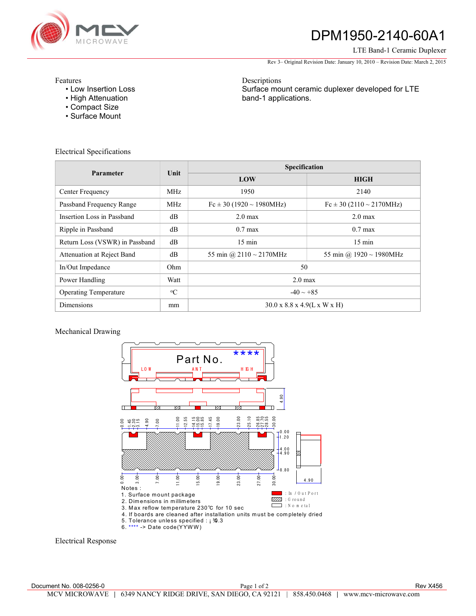

# DPM1950-2140-60A1

### LTE Band-1 Ceramic Duplexer

Rev 3– Original Revision Date: January 10, 2010 – Revision Date: March 2, 2015

Features

- Low Insertion Loss
- High Attenuation
- Compact Size
- Surface Mount

Descriptions Surface mount ceramic duplexer developed for LTE band-1 applications.

Electrical Specifications

| <b>Parameter</b>               | Unit        | Specification                                     |                                  |
|--------------------------------|-------------|---------------------------------------------------|----------------------------------|
|                                |             | LOW                                               | <b>HIGH</b>                      |
| Center Frequency               | <b>MHz</b>  | 1950                                              | 2140                             |
| Passband Frequency Range       | MHz.        | $Fc \pm 30$ (1920 ~ 1980MHz)                      | $Fc \pm 30 (2110 \sim 2170 MHz)$ |
| Insertion Loss in Passband     | $\rm dB$    | $2.0 \text{ max}$                                 | $2.0 \text{ max}$                |
| Ripple in Passband             | $\rm dB$    | $0.7 \text{ max}$                                 | $0.7 \text{ max}$                |
| Return Loss (VSWR) in Passband | dB          | $15 \text{ min}$                                  | $15 \text{ min}$                 |
| Attenuation at Reject Band     | dB          | 55 min @ 2110 $\sim$ 2170MHz                      | 55 min @ $1920 \sim 1980$ MHz    |
| In/Out Impedance               | Ohm         | 50                                                |                                  |
| Power Handling                 | Watt        | $2.0 \text{ max}$                                 |                                  |
| <b>Operating Temperature</b>   | $\rm ^{o}C$ | $-40 \sim +85$                                    |                                  |
| <b>Dimensions</b>              | mm          | $30.0 \times 8.8 \times 4.9(L \times W \times H)$ |                                  |

## Mechanical Drawing



Electrical Response